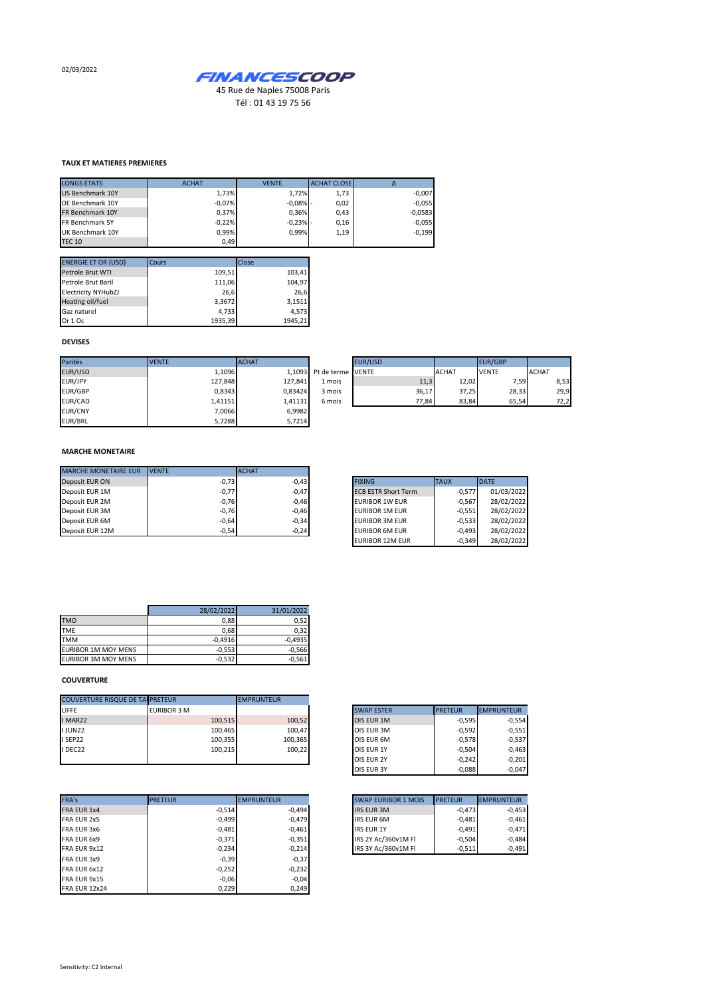02/03/2022



Tél : 01 43 19 75 56

## **TAUX ET MATIERES PREMIERES**

| <b>LONGS ETATS</b> | <b>ACHAT</b> | <b>VENTE</b> | <b>ACHAT CLOSE</b> |           |
|--------------------|--------------|--------------|--------------------|-----------|
| US Benchmark 10Y   | 1,73%        | 1.72%        | 1,73               | $-0,007$  |
| DE Benchmark 10Y   | $-0,07%$     | $-0,08%$ -   | 0,02               | $-0,055$  |
| FR Benchmark 10Y   | 0,37%        | 0,36%        | 0,43               | $-0,0583$ |
| FR Benchmark 5Y    | $-0,22%$     | $-0,23%$ -   | 0,16               | $-0,055$  |
| UK Benchmark 10Y   | 0,99%        | 0.99%        | 1,19               | $-0,199$  |
| <b>TEC 10</b>      | 0.49         |              |                    |           |

| <b>ENERGIE ET OR (USD)</b> | Cours   | Close   |
|----------------------------|---------|---------|
| Petrole Brut WTI           | 109,51  | 103,41  |
| Petrole Brut Baril         | 111,06  | 104,97  |
| <b>Electricity NYHubZJ</b> | 26,6    | 26,6    |
| Heating oil/fuel           | 3,3672  | 3,1511  |
| Gaz naturel                | 4,733   | 4.573   |
| Or 1 Oc                    | 1935.39 | 1945.21 |

## **DEVISES**

| Parités        | <b>VENTE</b> | <b>ACHAT</b> |                          | EUR/USD |              | <b>EUR/GBP</b> |              |
|----------------|--------------|--------------|--------------------------|---------|--------------|----------------|--------------|
| EUR/USD        | 1,1096       |              | 1.1093 Pt de terme VENTE |         | <b>ACHAT</b> | <b>VENTE</b>   | <b>ACHAT</b> |
| EUR/JPY        | 127,848      | 127.841      | 1 mois                   | 11,3    | 12,02        | 7,59           | 8,53         |
| <b>EUR/GBP</b> | 0,8343       | 0.83424      | 3 mois                   | 36,17   | 37,25        | 28,33          | 29,9         |
| EUR/CAD        | 1,41151      | 1.41131      | 6 mois                   | 77.84   | 83,84        | 65,54          | 72,2         |
| <b>EUR/CNY</b> | 7.0066       | 6,9982       |                          |         |              |                |              |
| EUR/BRL        | 5,7288       | 5,7214       |                          |         |              |                |              |

## **MARCHE MONETAIRE**

| <b>MARCHE MONETAIRE EUR</b> | <b>IVENTE</b> | <b>ACHAT</b> |                            |             |
|-----------------------------|---------------|--------------|----------------------------|-------------|
| Deposit EUR ON              | $-0,73$       | $-0.43$      | <b>FIXING</b>              | <b>TAUX</b> |
| Deposit EUR 1M              | $-0,77$       | $-0,47$      | <b>ECB ESTR Short Term</b> | $-0.577$    |
| Deposit EUR 2M              | $-0,76$       | $-0,46$      | EURIBOR 1W EUR             | $-0.567$    |
| Deposit EUR 3M              | $-0,76$       | $-0.46$      | EURIBOR 1M EUR             | $-0.551$    |
| Deposit EUR 6M              | $-0.64$       | $-0,34$      | <b>EURIBOR 3M EUR</b>      | $-0.533$    |
| Deposit EUR 12M             | $-0.54$       | $-0,24$      | <b>EURIBOR 6M EUR</b>      | $-0.493$    |

| <b>FIXING</b>              | <b>TAUX</b> | <b>DATE</b> |
|----------------------------|-------------|-------------|
| <b>ECB ESTR Short Term</b> | $-0.577$    | 01/03/2022  |
| <b>EURIBOR 1W EUR</b>      | $-0.567$    | 28/02/2022  |
| <b>EURIBOR 1M EUR</b>      | $-0.551$    | 28/02/2022  |
| <b>EURIBOR 3M EUR</b>      | $-0.533$    | 28/02/2022  |
| <b>EURIBOR 6M EUR</b>      | $-0.493$    | 28/02/2022  |
| <b>EURIBOR 12M EUR</b>     | $-0.349$    | 28/02/2022  |

|                            | 28/02/2022 | 31/01/2022 |
|----------------------------|------------|------------|
| <b>TMO</b>                 | 0,88       | 0.52       |
| <b>TME</b>                 | 0,68       | 0.32       |
| <b>TMM</b>                 | $-0,4916$  | $-0.4935$  |
| EURIBOR 1M MOY MENS        | $-0,553$   | $-0.566$   |
| <b>EURIBOR 3M MOY MENS</b> | $-0,532$   | $-0,561$   |

## **COUVERTURE**

| <b>COUVERTURE RISQUE DE TAI PRETEUR</b> |                    |         | <b>EMPRUNTEUR</b> |                   |                |
|-----------------------------------------|--------------------|---------|-------------------|-------------------|----------------|
| LIFFE                                   | <b>EURIBOR 3 M</b> |         |                   | <b>SWAP ESTER</b> | <b>PRETEUR</b> |
| I MAR22                                 |                    | 100,515 | 100,52            | OIS EUR 1M        |                |
| <b>IJUN22</b>                           |                    | 100,465 | 100,47            | OIS EUR 3M        |                |
| I SEP22                                 |                    | 100,355 | 100.365           | OIS EUR 6M        |                |
| I DEC22                                 |                    | 100,215 | 100,22            | <b>OIS EUR 1Y</b> |                |
|                                         |                    |         |                   | <b>OIS EUR 2Y</b> | $-0.242$       |

| FRA's                | <b>PRETEUR</b> |          | <b>EMPRUNTEUR</b> | <b>SWAP EURIBOR 1 MOIS</b> | <b>PRETEUR</b> |
|----------------------|----------------|----------|-------------------|----------------------------|----------------|
| <b>FRA EUR 1x4</b>   |                | $-0,514$ | $-0,494$          | <b>IRS EUR 3M</b>          | $-0,473$       |
| FRA EUR 2x5          |                | $-0,499$ | $-0,479$          | <b>IRS EUR 6M</b>          | $-0,481$       |
| FRA EUR 3x6          |                | $-0,481$ | $-0,461$          | <b>IRS EUR 1Y</b>          | $-0.491$       |
| FRA EUR 6x9          |                | $-0,371$ | $-0,351$          | IRS 2Y Ac/360v1M FI        | $-0,504$       |
| FRA EUR 9x12         |                | $-0,234$ | $-0,214$          | IRS 3Y Ac/360v1M FI        | $-0,511$       |
| FRA EUR 3x9          |                | $-0,39$  | $-0,37$           |                            |                |
| FRA EUR 6x12         |                | $-0,252$ | $-0,232$          |                            |                |
| FRA EUR 9x15         |                | $-0,06$  | $-0,04$           |                            |                |
| <b>FRA EUR 12x24</b> |                | 0.229    | 0.249             |                            |                |

| <b>SWAP ESTER</b> | <b>PRETEUR</b> | <b>EMPRUNTEUR</b> |
|-------------------|----------------|-------------------|
| OIS EUR 1M        | $-0,595$       | $-0,554$          |
| OIS EUR 3M        | $-0,592$       | $-0,551$          |
| OIS EUR 6M        | $-0,578$       | $-0,537$          |
| OIS EUR 1Y        | $-0,504$       | $-0,463$          |
| <b>OIS EUR 2Y</b> | $-0,242$       | $-0,201$          |
| <b>OIS EUR 3Y</b> | $-0,088$       | $-0,047$          |

| <b>SWAP EURIBOR 1 MOIS</b> | <b>PRETEUR</b> | <b>EMPRUNTEUR</b> |
|----------------------------|----------------|-------------------|
| <b>IRS EUR 3M</b>          | $-0,473$       | $-0,453$          |
| <b>IRS EUR 6M</b>          | $-0.481$       | $-0,461$          |
| <b>IRS EUR 1Y</b>          | $-0.491$       | $-0.471$          |
| IRS 2Y Ac/360v1M FI        | $-0.504$       | $-0,484$          |
| IRS 3Y Ac/360v1M Fl        | $-0.511$       | $-0.491$          |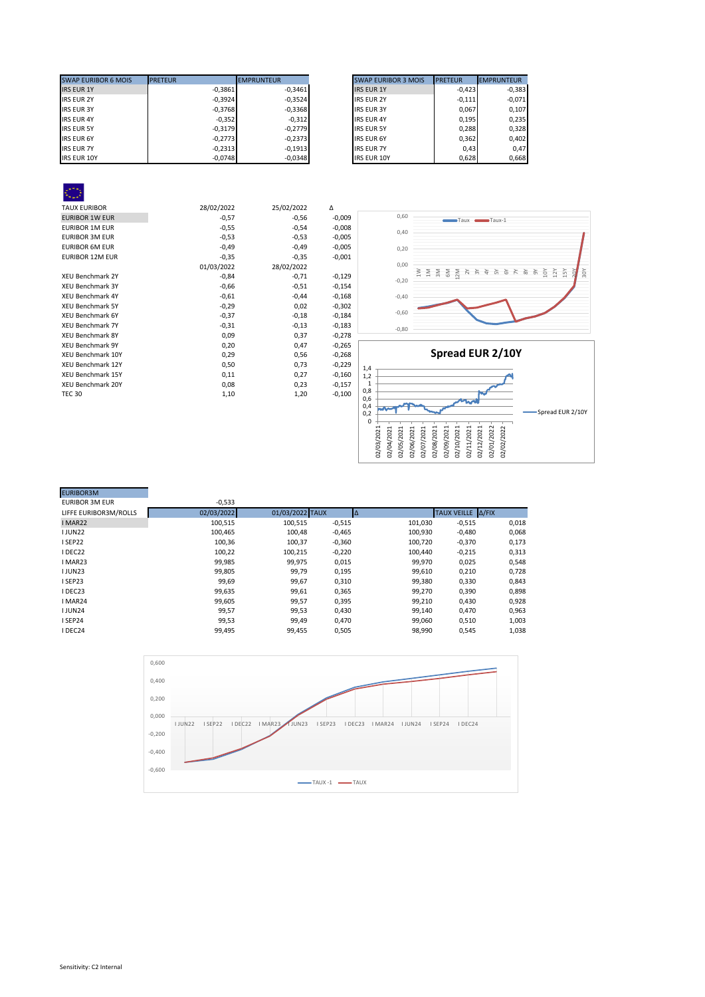| <b>SWAP EURIBOR 6 MOIS</b> | <b>PRETEUR</b> | <b>EMPRUNTEUR</b> | <b>SWAP EURIBOR 3 MOIS</b> | <b>PRETEUR</b><br><b>EMPRUNTEUR</b> |
|----------------------------|----------------|-------------------|----------------------------|-------------------------------------|
| <b>IRS EUR 1Y</b>          | $-0,3861$      | $-0,3461$         | <b>IRS EUR 1Y</b>          | $-0,423$                            |
| <b>IRS EUR 2Y</b>          | $-0,3924$      | $-0,3524$         | <b>IRS EUR 2Y</b>          | $-0,111$                            |
| <b>IRS EUR 3Y</b>          | $-0,3768$      | $-0,3368$         | <b>IRS EUR 3Y</b>          | 0.067                               |
| <b>IRS EUR 4Y</b>          | $-0,352$       | $-0,312$          | <b>IRS EUR 4Y</b>          | 0,195                               |
| <b>IRS EUR 5Y</b>          | $-0,3179$      | $-0.2779$         | <b>IRS EUR 5Y</b>          | 0,288                               |
| <b>IRS EUR 6Y</b>          | $-0,2773$      | $-0,2373$         | <b>IRS EUR 6Y</b>          | 0,362                               |
| <b>IRS EUR 7Y</b>          | $-0,2313$      | $-0,1913$         | <b>IRS EUR 7Y</b>          | 0.43                                |
| <b>IRS EUR 10Y</b>         | $-0,0748$      | $-0,0348$         | <b>IRS EUR 10Y</b>         | 0,628                               |

| <b>SWAP EURIBOR 3 MOIS</b> | <b>PRETEUR</b> | <b>EMPRUNTEUR</b> |
|----------------------------|----------------|-------------------|
| <b>IRS EUR 1Y</b>          | $-0,423$       | $-0,383$          |
| <b>IRS EUR 2Y</b>          | $-0,111$       | $-0,071$          |
| <b>IRS EUR 3Y</b>          | 0,067          | 0,107             |
| <b>IRS EUR 4Y</b>          | 0,195          | 0,235             |
| <b>IRS EUR 5Y</b>          | 0,288          | 0,328             |
| <b>IRS EUR 6Y</b>          | 0,362          | 0,402             |
| <b>IRS EUR 7Y</b>          | 0.43           | 0.47              |
| <b>IRS EUR 10Y</b>         | 0.628          | 0.668             |

| <b>TAUX EURIBOR</b>      | 28/02/2022 | 25/02/2022 | Δ        |
|--------------------------|------------|------------|----------|
| <b>EURIBOR 1W EUR</b>    | $-0,57$    | $-0,56$    | $-0,009$ |
| <b>EURIBOR 1M EUR</b>    | $-0,55$    | $-0,54$    | $-0,008$ |
| <b>EURIBOR 3M EUR</b>    | $-0,53$    | $-0,53$    | $-0,005$ |
| <b>EURIBOR 6M EUR</b>    | $-0,49$    | $-0,49$    | $-0,005$ |
| <b>EURIBOR 12M EUR</b>   | $-0,35$    | $-0,35$    | $-0,001$ |
|                          | 01/03/2022 | 28/02/2022 |          |
| XEU Benchmark 2Y         | $-0,84$    | $-0,71$    | $-0,129$ |
| <b>XEU Benchmark 3Y</b>  | $-0,66$    | $-0,51$    | $-0,154$ |
| <b>XEU Benchmark 4Y</b>  | $-0,61$    | $-0,44$    | $-0,168$ |
| <b>XEU Benchmark 5Y</b>  | $-0,29$    | 0,02       | $-0,302$ |
| <b>XEU Benchmark 6Y</b>  | $-0,37$    | $-0,18$    | $-0,184$ |
| <b>XEU Benchmark 7Y</b>  | $-0,31$    | $-0,13$    | $-0,183$ |
| <b>XEU Benchmark 8Y</b>  | 0,09       | 0,37       | $-0,278$ |
| <b>XEU Benchmark 9Y</b>  | 0,20       | 0,47       | $-0,265$ |
| XEU Benchmark 10Y        | 0,29       | 0,56       | $-0,268$ |
| XEU Benchmark 12Y        | 0,50       | 0,73       | $-0,229$ |
| <b>XEU Benchmark 15Y</b> | 0,11       | 0,27       | $-0,160$ |
| <b>XEU Benchmark 20Y</b> | 0,08       | 0,23       | $-0,157$ |
| <b>TEC 30</b>            | 1,10       | 1,20       | $-0,100$ |
|                          |            |            |          |





| $-0,533$   |         |          |                 |          |                   |
|------------|---------|----------|-----------------|----------|-------------------|
| 02/03/2022 |         |          |                 |          |                   |
| 100,515    | 100,515 | $-0,515$ | 101,030         | $-0,515$ | 0,018             |
| 100,465    | 100.48  | $-0,465$ | 100,930         | $-0,480$ | 0,068             |
| 100,36     | 100,37  | $-0,360$ | 100,720         | $-0,370$ | 0,173             |
| 100,22     | 100,215 | $-0,220$ | 100.440         | $-0,215$ | 0,313             |
| 99,985     | 99,975  | 0,015    | 99,970          | 0,025    | 0,548             |
| 99,805     | 99,79   | 0,195    | 99,610          | 0,210    | 0,728             |
| 99,69      | 99,67   | 0,310    | 99,380          | 0,330    | 0,843             |
| 99,635     | 99,61   | 0,365    | 99,270          | 0,390    | 0,898             |
| 99,605     | 99,57   | 0,395    | 99,210          | 0,430    | 0,928             |
| 99,57      | 99,53   | 0,430    | 99,140          | 0,470    | 0,963             |
| 99,53      | 99,49   | 0,470    | 99,060          | 0,510    | 1,003             |
| 99,495     | 99,455  | 0,505    | 98,990          | 0,545    | 1,038             |
|            |         |          | 01/03/2022 TAUX |          | TAUX VEILLE A/FIX |